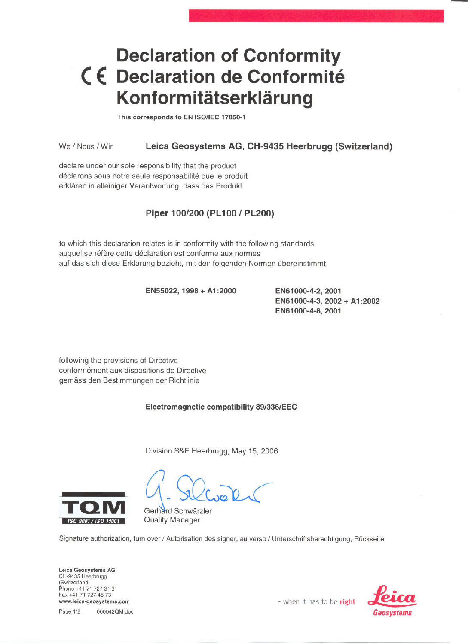## **Declaration of Conformity** < **E: Declaration de Conformite Konformitätserklärung**

This corresponds to EN ISO/IEC 17050-1

We / Nous / Wir Leica Geosystems AG, CH-9435 Heerbrugg (Switzerland)

declare under our sole responsibility that the product déclarons sous notre seule responsabilité que le produit erklären in alleiniger Verantwortung, dass das Produkt

## Piper 100/200 (PL100 / PL200)

to which this declaration relates is in conformity with the following standards auquel se réfère cette déclaration est conforme aux normes auf das sich diese Erklärung bezieht, mit den folgenden Normen übereinstimmt

EN55022, 1998 + A1:2000 EN61 000-4-2, 2001

EN61 000-4-3, 2002 + A1:2002 EN61 000-4-8, 2001

following the provisions of Directive conformement aux dispositions de Directive gemäss den Bestimmungen der Richtlinie

Electromagnetic compatibility 89/336/EEC

Division S&E Heerbrugg, May 15, 2006



Gerhard Schwärzler *}~l/JIj'.#.'f'.f:IIl',* Quality Manager

Signature authorization, turn over / Autorisation des signer, au verso / Unterschriftsberechtigung, Rückseite

leica Geosystems AG CH-9435 Heerbrugg (Switzerland) Phone +41 71 727 31 31 Fax +41 71 727 46 73 Fax +41 71 727 46 73<br>www.leica-geosystems.com **-** when it has to be **right** cleared to the cleared with a cleared to the right cleared